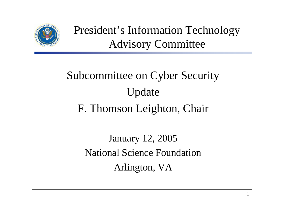

President's Information Technology Advisory Committee

# Subcommittee on Cyber Security Update F. Thomson Leighton, Chair

January 12, 2005 National Science FoundationArlington, VA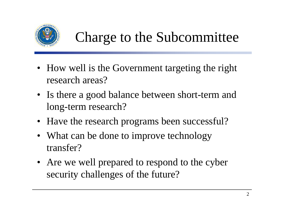

# Charge to the Subcommittee

- How well is the Government targeting the right research areas?
- Is there a good balance between short-term and long-term research?
- Have the research programs been successful?
- What can be done to improve technology transfer?
- Are we well prepared to respond to the cyber security challenges of the future?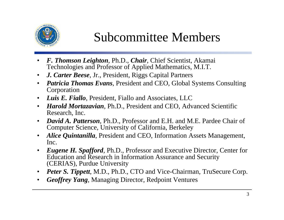

#### Subcommittee Members

- • *F. Thomson Leighton*, Ph.D., *Chair*, Chief Scientist, Akamai Technologies and Professor of Applied Mathematics, M.I.T.
- $\bullet$ *J. Carter Beese*, Jr., President, Riggs Capital Partners
- $\bullet$  *Patricia Thomas Evans*, President and CEO, Global Systems Consulting Corporation
- $\bullet$ *Luis E. Fiallo*, President, Fiallo and Associates, LLC
- $\bullet$  *Harold Mortazavian*, Ph.D., President and CEO, Advanced Scientific Research, Inc.
- • *David A. Patterson*, Ph.D., Professor and E.H. and M.E. Pardee Chair of Computer Science, University of California, Berkeley
- $\bullet$  *Alice Quintanilla*, President and CEO, Information Assets Management, Inc.
- • *Eugene H. Spafford*, Ph.D., Professor and Executive Director, Center for Education and Research in Information Assurance and Security (CERIAS), Purdue University
- •*Peter S. Tippett*, M.D., Ph.D., CTO and Vice-Chairman, TruSecure Corp.
- •*Geoffrey Yang*, Managing Director, Redpoint Ventures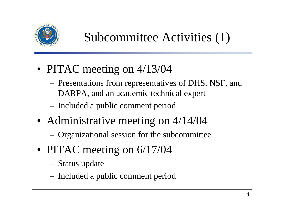

### Subcommittee Activities (1)

- PITAC meeting on 4/13/04
	- Presentations from representatives of DHS, NSF, and DARPA, and an academic technical expert
	- Included a public comment period
- Administrative meeting on 4/14/04
	- Organizational session for the subcommittee
- PITAC meeting on 6/17/04
	- Status update
	- Included a public comment period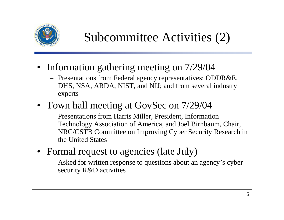

### Subcommittee Activities (2)

- Information gathering meeting on 7/29/04
	- Presentations from Federal agency representatives: ODDR&E, DHS, NSA, ARDA, NIST, and NIJ; and from several industry experts
- Town hall meeting at GovSec on 7/29/04
	- Presentations from Harris Miller, President, Information Technology Association of America, and Joel Birnbaum, Chair, NRC/CSTB Committee on Improving Cyber Security Research in the United States
- Formal request to agencies (late July)
	- Asked for written response to questions about an agency's cyber security R&D activities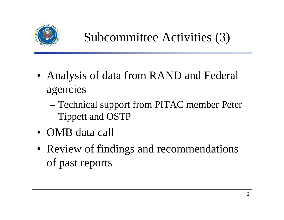

Subcommittee Activities (3)

- Analysis of data from RAND and Federal agencies
	- Technical support from PITAC member Peter Tippett and OSTP
- OMB data call
- Review of findings and recommendations of past reports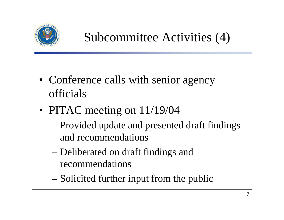

### Subcommittee Activities (4)

- Conference calls with senior agency officials
- PITAC meeting on 11/19/04
	- Provided update and presented draft findings and recommendations
	- Deliberated on draft findings and recommendations
	- Solicited further input from the public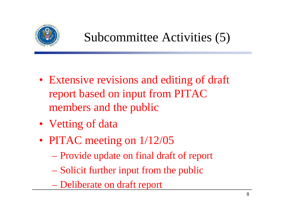

### Subcommittee Activities (5)

- Extensive revisions and editing of draft report based on input from PITAC members and the public
- Vetting of data
- PITAC meeting on  $1/12/05$ 
	- Provide update on final draft of report
	- Solicit further input from the public
	- Deliberate on draft report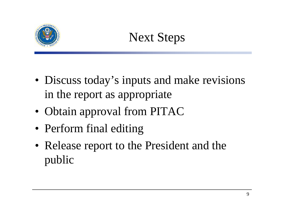

# Next Steps

- Discuss today's inputs and make revisions in the report as appropriate
- Obtain approval from PITAC
- Perform final editing
- Release report to the President and the public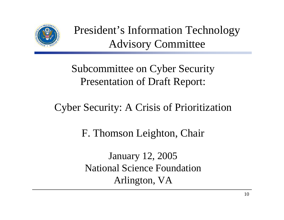

President's Information Technology Advisory Committee

Subcommittee on Cyber Security Presentation of Draft Report:

Cyber Security: A Crisis of Prioritization

F. Thomson Leighton, Chair

January 12, 2005 National Science FoundationArlington, VA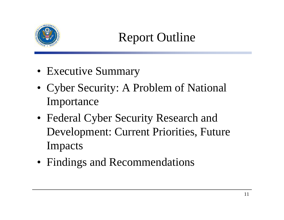

## Report Outline

- Executive Summary
- Cyber Security: A Problem of National Importance
- Federal Cyber Security Research and Development: Current Priorities, Future Impacts
- Findings and Recommendations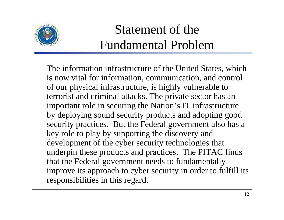

# Statement of the Fundamental Problem

The information infrastructure of the United States, which is now vital for information, communication, and control of our physical infrastructure, is highly vulnerable to terrorist and criminal attacks. The private sector has an important role in securing the Nation's IT infrastructure by deploying sound security products and adopting good security practices. But the Federal government also has a key role to play by supporting the discovery and development of the cyber security technologies that underpin these products and practices. The PITAC finds that the Federal government needs to fundamentally improve its approach to cyber security in order to fulfill its responsibilities in this regard.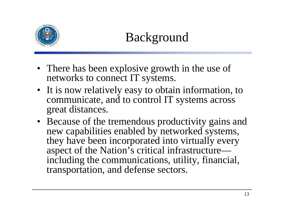

## Background

- There has been explosive growth in the use of networks to connect IT systems.
- It is now relatively easy to obtain information, to communicate, and to control IT systems across great distances.
- Because of the tremendous productivity gains and new capabilities enabled by networked systems, they have been incorporated into virtually every aspect of the Nation's critical infrastructure including the communications, utility, financial, transportation, and defense sectors.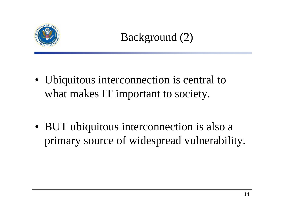

#### Background (2)

- Ubiquitous interconnection is central to what makes IT important to society.
- BUT ubiquitous interconnection is also a primary source of widespread vulnerability.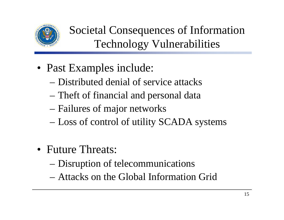

Societal Consequences of Information Technology Vulnerabilities

- Past Examples include:
	- Distributed denial of service attacks
	- Theft of financial and personal data
	- Failures of major networks
	- Loss of control of utility SCADA systems
- Future Threats:
	- Disruption of telecommunications
	- Attacks on the Global Information Grid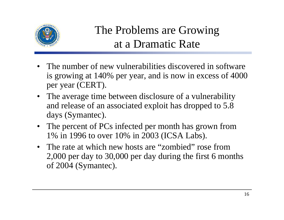

#### The Problems are Growing at a Dramatic Rate

- The number of new vulnerabilities discovered in software is growing at 140% per year, and is now in excess of 4000 per year (CERT).
- The average time between disclosure of a vulnerability and release of an associated exploit has dropped to 5.8 days (Symantec).
- The percent of PCs infected per month has grown from 1% in 1996 to over 10% in 2003 (ICSA Labs).
- The rate at which new hosts are "zombied" rose from 2,000 per day to 30,000 per day during the first 6 months of 2004 (Symantec).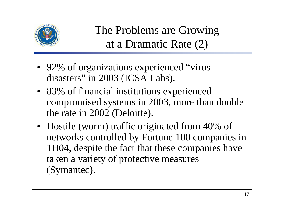

The Problems are Growing at a Dramatic Rate (2)

- 92% of organizations experienced "virus disasters" in 2003 (ICSA Labs).
- 83% of financial institutions experienced compromised systems in 2003, more than double the rate in 2002 (Deloitte).
- Hostile (worm) traffic originated from 40% of networks controlled by Fortune 100 companies in 1H04, despite the fact that these companies have taken a variety of protective measures (Symantec).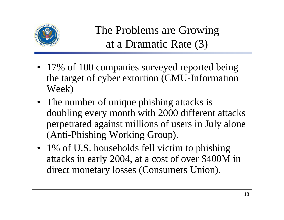

The Problems are Growing at a Dramatic Rate (3)

- 17% of 100 companies surveyed reported being the target of cyber extortion (CMU-Information Week)
- The number of unique phishing attacks is doubling every month with 2000 different attacks perpetrated against millions of users in July alone (Anti-Phishing Working Group).
- 1% of U.S. households fell victim to phishing attacks in early 2004, at a cost of over \$400M in direct monetary losses (Consumers Union).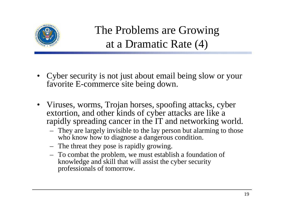

The Problems are Growing at a Dramatic Rate (4)

- • Cyber security is not just about email being slow or your favorite E-commerce site being down.
- Viruses, worms, Trojan horses, spoofing attacks, cyber extortion, and other kinds of cyber attacks are like a rapidly spreading cancer in the IT and networking world.
	- They are largely invisible to the lay person but alarming to those who know how to diagnose a dangerous condition.
	- The threat they pose is rapidly growing.
	- To combat the problem, we must establish a foundation of knowledge and skill that will assist the cyber security professionals of tomorrow.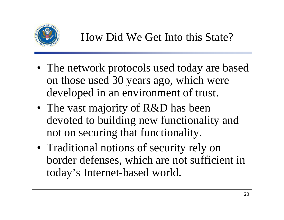

- The network protocols used today are based on those used 30 years ago, which were developed in an environment of trust.
- The vast majority of R&D has been devoted to building new functionality and not on securing that functionality.
- Traditional notions of security rely on border defenses, which are not sufficient in today's Internet-based world.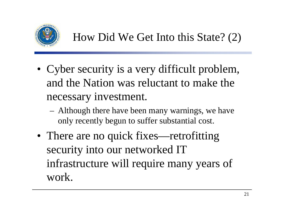

- Cyber security is a very difficult problem, and the Nation was reluctant to make the necessary investment.
	- Although there have been many warnings, we have only recently begun to suffer substantial cost.
- There are no quick fixes—retrofitting security into our networked IT infrastructure will require many years of work.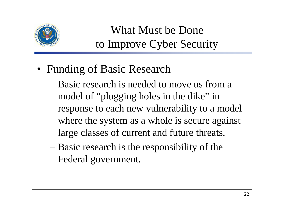

#### What Must be Done to Improve Cyber Security

- Funding of Basic Research
	- Basic research is needed to move us from a model of "plugging holes in the dike" in response to each new vulnerability to a model where the system as a whole is secure against large classes of current and future threats.
	- Basic research is the responsibility of the Federal government.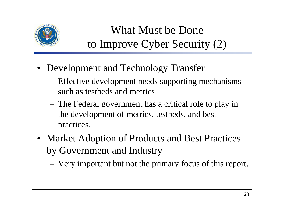

#### What Must be Done to Improve Cyber Security (2)

- Development and Technology Transfer
	- Effective development needs supporting mechanisms such as testbeds and metrics.
	- The Federal government has a critical role to play in the development of metrics, testbeds, and best practices.
- Market Adoption of Products and Best Practices by Government and Industry
	- Very important but not the primary focus of this report.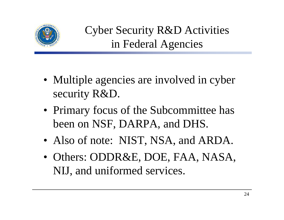

Cyber Security R&D Activities in Federal Agencies

- Multiple agencies are involved in cyber security R&D.
- Primary focus of the Subcommittee has been on NSF, DARPA, and DHS.
- Also of note: NIST, NSA, and ARDA.
- Others: ODDR&E, DOE, FAA, NASA, NIJ, and uniformed services.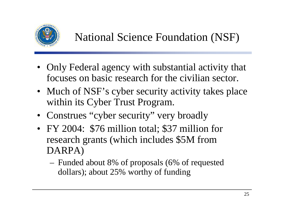

- Only Federal agency with substantial activity that focuses on basic research for the civilian sector.
- Much of NSF's cyber security activity takes place within its Cyber Trust Program.
- Construes "cyber security" very broadly
- FY 2004: \$76 million total; \$37 million for research grants (which includes \$5M from DARPA)
	- Funded about 8% of proposals (6% of requested dollars); about 25% worthy of funding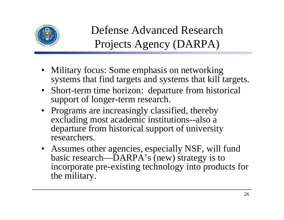

Defense Advanced Research Projects Agency (DARPA)

- Military focus: Some emphasis on networking systems that find targets and systems that kill targets.
- Short-term time horizon: departure from historical support of longer-term research.
- Programs are increasingly classified, thereby excluding most academic institutions--also a departure from historical support of university researchers.
- Assumes other agencies, especially NSF, will fund basic research—DARPA's (new) strategy is to incorporate pre-existing technology into products for the military.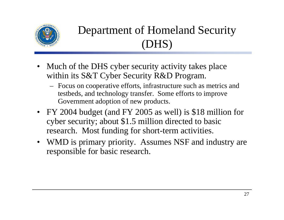

### Department of Homeland Security (DHS)

- $\bullet$  Much of the DHS cyber security activity takes place within its S&T Cyber Security R&D Program.
	- Focus on cooperative efforts, infrastructure such as metrics and testbeds, and technology transfer. Some efforts to improve Government adoption of new products.
- FY 2004 budget (and FY 2005 as well) is \$18 million for cyber security; about \$1.5 million directed to basic research. Most funding for short-term activities.
- WMD is primary priority. Assumes NSF and industry are responsible for basic research.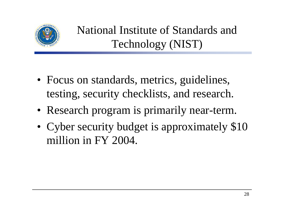

National Institute of Standards and Technology (NIST)

- Focus on standards, metrics, guidelines, testing, security checklists, and research.
- Research program is primarily near-term.
- • Cyber security budget is approximately \$10 million in FY 2004.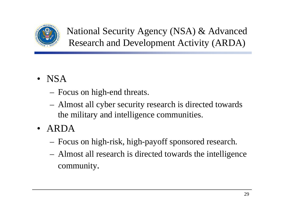

National Security Agency (NSA) & Advanced Research and Development Activity (ARDA)

- NSA
	- Focus on high-end threats.
	- Almost all cyber security research is directed towards the military and intelligence communities.
- ARDA
	- Focus on high-risk, high-payoff sponsored research.
	- Almost all research is directed towards the intelligence community.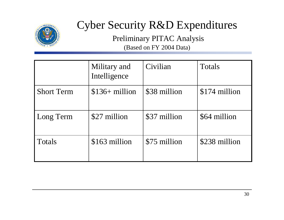

#### Cyber Security R&D Expenditures

Preliminary PITAC Analysis (Based on FY 2004 Data)

|                   | Military and<br>Intelligence | Civilian     | Totals        |
|-------------------|------------------------------|--------------|---------------|
| <b>Short Term</b> | $$136+$ million              | \$38 million | \$174 million |
| Long Term         | \$27 million                 | \$37 million | \$64 million  |
| <b>Totals</b>     | \$163 million                | \$75 million | \$238 million |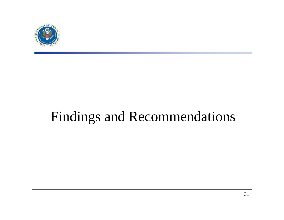

# Findings and Recommendations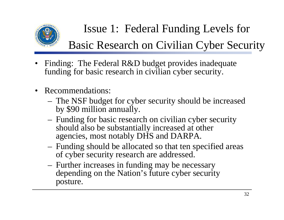

### Issue 1: Federal Funding Levels for

#### Basic Research on Civilian Cyber Security

- • Finding: The Federal R&D budget provides inadequate funding for basic research in civilian cyber security.
- $\bullet$  Recommendations:
	- The NSF budget for cyber security should be increased by \$90 million annually.
	- Funding for basic research on civilian cyber security should also be substantially increased at other agencies, most notably DHS and DARPA.
	- Funding should be allocated so that ten specified areas of cyber security research are addressed.
	- Further increases in funding may be necessary depending on the Nation's future cyber security posture.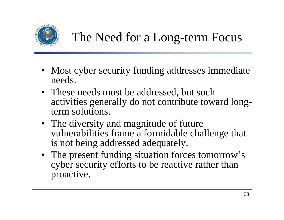

## The Need for a Long-term Focus

- Most cyber security funding addresses immediate needs.
- These needs must be addressed, but such activities generally do not contribute toward longterm solutions.
- The diversity and magnitude of future vulnerabilities frame a formidable challenge that is not being addressed adequately.
- The present funding situation forces tomorrow's cyber security efforts to be reactive rather than proactive.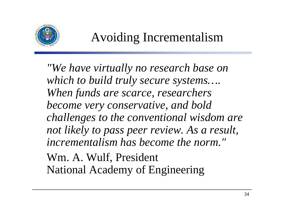

#### Avoiding Incrementalism

*"We have virtually no research base on which to build truly secure systems…. When funds are scarce, researchers become very conservative, and bold challenges to the conventional wisdom are not likely to pass peer review. As a result, incrementalism has become the norm."* Wm. A. Wulf, President

National Academy of Engineering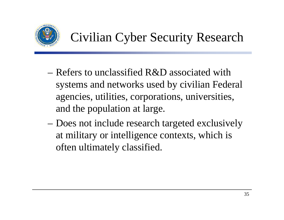

## Civilian Cyber Security Research

- Refers to unclassified R&D associated with systems and networks used by civilian Federal agencies, utilities, corporations, universities, and the population at large.
- Does not include research targeted exclusively at military or intelligence contexts, which is often ultimately classified.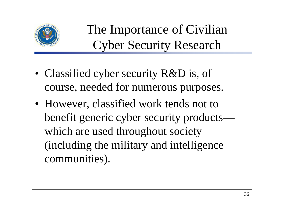

The Importance of Civilian Cyber Security Research

- Classified cyber security R&D is, of course, needed for numerous purposes.
- However, classified work tends not to benefit generic cyber security products which are used throughout society (including the military and intelligence communities).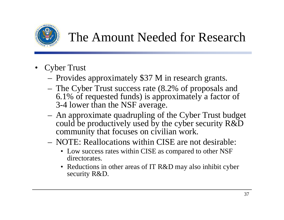

### The Amount Needed for Research

- • Cyber Trust
	- Provides approximately \$37 M in research grants.
	- The Cyber Trust success rate (8.2% of proposals and 6.1% of requested funds) is approximately a factor of 3-4 lower than the NSF average.
	- An approximate quadrupling of the Cyber Trust budget could be productively used by the cyber security R&D community that focuses on civilian work.
	- NOTE: Reallocations within CISE are not desirable:
		- Low success rates within CISE as compared to other NSF directorates.
		- Reductions in other areas of IT R&D may also inhibit cyber security R&D.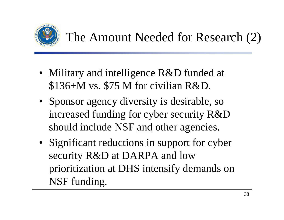

### The Amount Needed for Research (2)

- Military and intelligence R&D funded at \$136+M vs. \$75 M for civilian R&D.
- Sponsor agency diversity is desirable, so increased funding for cyber security R&D should include NSF and other agencies.
- Significant reductions in support for cyber security R&D at DARPA and low prioritization at DHS intensify demands on NSF funding.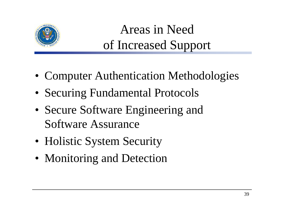

## Areas in Need of Increased Support

- Computer Authentication Methodologies
- Securing Fundamental Protocols
- Secure Software Engineering and Software Assurance
- Holistic System Security
- Monitoring and Detection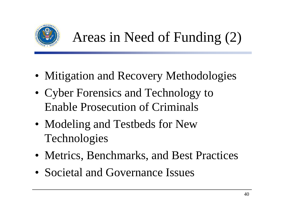

# Areas in Need of Funding (2)

- Mitigation and Recovery Methodologies
- Cyber Forensics and Technology to Enable Prosecution of Criminals
- Modeling and Testbeds for New Technologies
- Metrics, Benchmarks, and Best Practices
- Societal and Governance Issues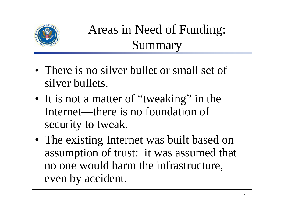

# Areas in Need of Funding: Summary

- There is no silver bullet or small set of silver bullets.
- It is not a matter of "tweaking" in the Internet—there is no foundation of security to tweak.
- The existing Internet was built based on assumption of trust: it was assumed that no one would harm the infrastructure, even by accident.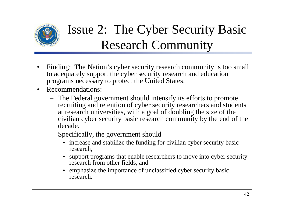

# Issue 2: The Cyber Security Basic Research Community

- $\bullet$  Finding: The Nation's cyber security research community is too small to adequately support the cyber security research and education programs necessary to protect the United States.
- $\bullet$  Recommendations:
	- The Federal government should intensify its efforts to promote recruiting and retention of cyber security researchers and students at research universities, with a goal of doubling the size of the civilian cyber security basic research community by the end of the decade.
	- Specifically, the government should
		- increase and stabilize the funding for civilian cyber security basic research,
		- • support programs that enable researchers to move into cyber security research from other fields, and
		- emphasize the importance of unclassified cyber security basic research.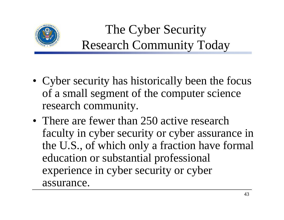

# The Cyber Security Research Community Today

- Cyber security has historically been the focus of a small segment of the computer science research community.
- There are fewer than 250 active research faculty in cyber security or cyber assurance in the U.S., of which only a fraction have formal education or substantial professional experience in cyber security or cyber assurance.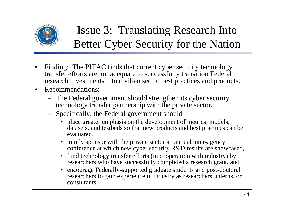

#### Issue 3: Translating Research Into Better Cyber Security for the Nation

- $\bullet$  Finding: The PITAC finds that current cyber security technology transfer efforts are not adequate to successfully transition Federal research investments into civilian sector best practices and products.
- $\bullet$  Recommendations:
	- The Federal government should strengthen its cyber security technology transfer partnership with the private sector.
	- Specifically, the Federal government should
		- place greater emphasis on the development of metrics, models, datasets, and testbeds so that new products and best practices can be evaluated,
		- jointly sponsor with the private sector an annual inter-agency conference at which new cyber security R&D results are showcased,
		- fund technology transfer efforts (in cooperation with industry) by researchers who have successfully completed a research grant, and
		- • encourage Federally-supported graduate students and post-doctoral researchers to gain experience in industry as researchers, interns, or consultants.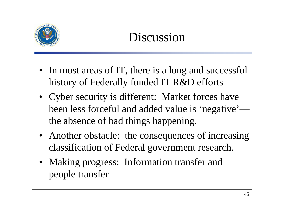

## Discussion

- In most areas of IT, there is a long and successful history of Federally funded IT R&D efforts
- Cyber security is different: Market forces have been less forceful and added value is 'negative' the absence of bad things happening.
- Another obstacle: the consequences of increasing classification of Federal government research.
- Making progress: Information transfer and people transfer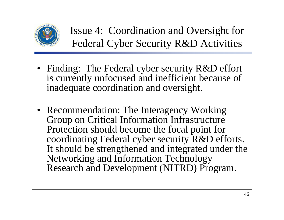

Issue 4: Coordination and Oversight for Federal Cyber Security R&D Activities

- Finding: The Federal cyber security R&D effort is currently unfocused and inefficient because of inadequate coordination and oversight.
- Recommendation: The Interagency Working Group on Critical Information Infrastructure Protection should become the focal point for coordinating Federal cyber security R&D efforts. It should be strengthened and integrated under the Networking and Information Technology Research and Development (NITRD) Program.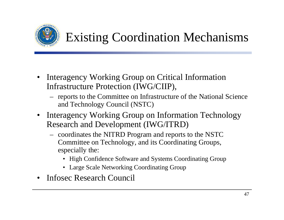

## Existing Coordination Mechanisms

- • Interagency Working Group on Critical Information Infrastructure Protection (IWG/CIIP),
	- reports to the Committee on Infrastructure of the National Science and Technology Council (NSTC)
- • Interagency Working Group on Information Technology Research and Development (IWG/ITRD)
	- coordinates the NITRD Program and reports to the NSTC Committee on Technology, and its Coordinating Groups, especially the:
		- High Confidence Software and Systems Coordinating Group
		- Large Scale Networking Coordinating Group
- •Infosec Research Council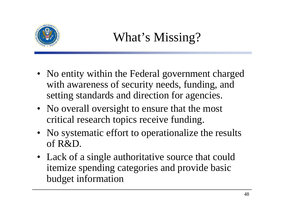

## What's Missing?

- No entity within the Federal government charged with awareness of security needs, funding, and setting standards and direction for agencies.
- No overall oversight to ensure that the most critical research topics receive funding.
- No systematic effort to operationalize the results of R&D.
- Lack of a single authoritative source that could itemize spending categories and provide basic budget information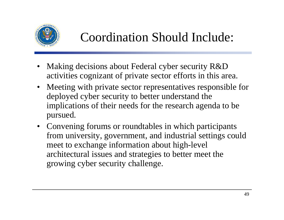

#### Coordination Should Include:

- • Making decisions about Federal cyber security R&D activities cognizant of private sector efforts in this area.
- Meeting with private sector representatives responsible for deployed cyber security to better understand the implications of their needs for the research agenda to be pursued.
- Convening forums or roundtables in which participants from university, government, and industrial settings could meet to exchange information about high-level architectural issues and strategies to better meet the growing cyber security challenge.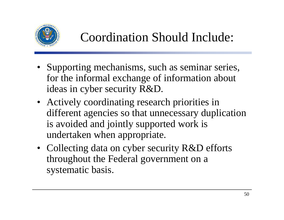

#### Coordination Should Include:

- Supporting mechanisms, such as seminar series, for the informal exchange of information about ideas in cyber security R&D.
- Actively coordinating research priorities in different agencies so that unnecessary duplication is avoided and jointly supported work is undertaken when appropriate.
- Collecting data on cyber security R&D efforts throughout the Federal government on a systematic basis.